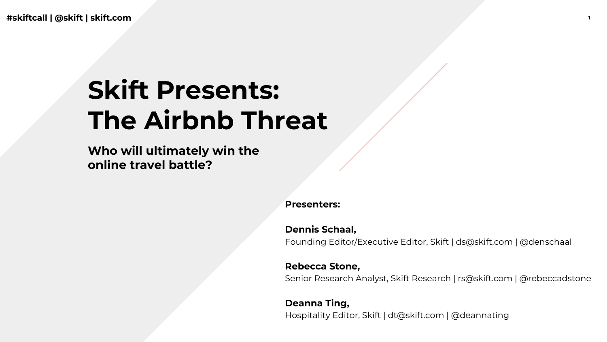**#skiftcall | @skift | skift.com** 

# **Skift Presents: The Airbnb Threat**

**Who will ultimately win the online travel battle?**

**Presenters:** 

**Dennis Schaal,**  Founding Editor/Executive Editor, Skift | ds@skift.com | @denschaal

**Rebecca Stone,** 

Senior Research Analyst, Skift Research | rs@skift.com | @rebeccadstone

**Deanna Ting,**  Hospitality Editor, Skift | dt@skift.com | @deannating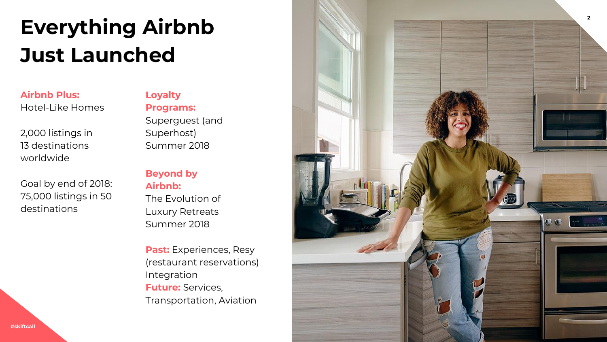## **Everything Airbnb Just Launched**

**Airbnb Plus:**  Hotel-Like Homes

2,000 listings in 13 destinations worldwide

Goal by end of 2018: 75,000 listings in 50 destinations

**Loyalty Programs:** Superguest (and Superhost) Summer 2018

#### **Beyond by Airbnb:**

The Evolution of Luxury Retreats Summer 2018

**Past:** Experiences, Resy (restaurant reservations) Integration **Future:** Services, Transportation, Aviation

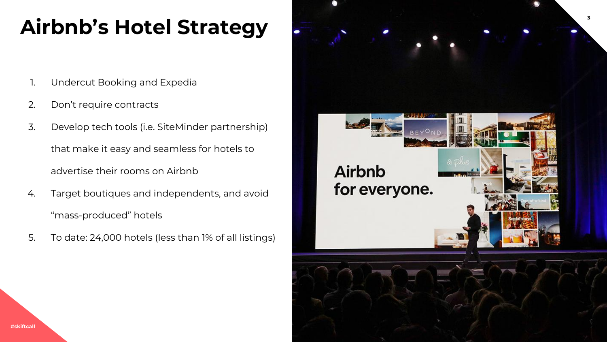### **<sup>3</sup> Airbnb's Hotel Strategy**

- 1. Undercut Booking and Expedia
- 2. Don't require contracts
- 3. Develop tech tools (i.e. SiteMinder partnership) that make it easy and seamless for hotels to advertise their rooms on Airbnb
- 4. Target boutiques and independents, and avoid "mass-produced" hotels
- 5. To date: 24,000 hotels (less than 1% of all listings)

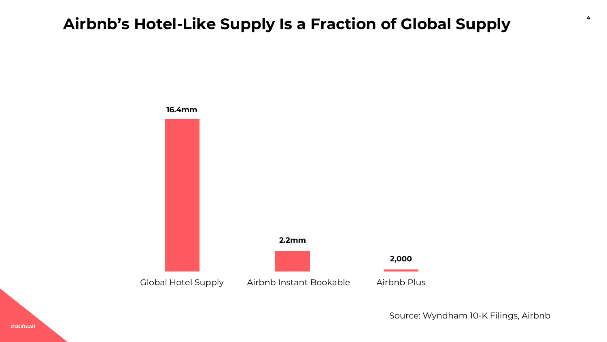### **<sup>4</sup> Airbnb's Hotel-Like Supply Is a Fraction of Global Supply**



Source: Wyndham 10-K Filings, Airbnb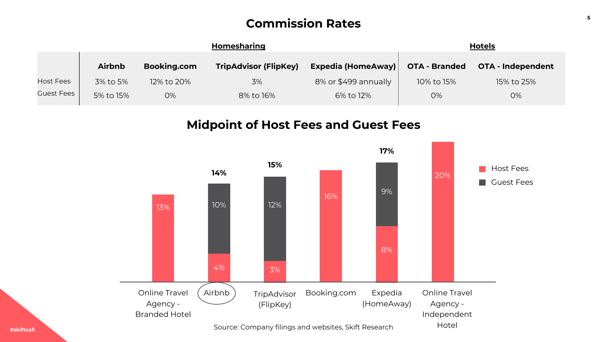### **<sup>5</sup> Commission Rates**

|                   | <b>Homesharing</b> |             |                              |                      | <u>Hotels</u>        |                   |
|-------------------|--------------------|-------------|------------------------------|----------------------|----------------------|-------------------|
|                   | <b>Airbnb</b>      | Booking.com | <b>TripAdvisor (FlipKey)</b> | Expedia (HomeAway)   | <b>OTA - Branded</b> | OTA - Independent |
| <b>Host Fees</b>  | 3% to 5%           | 12% to 20%  | 3%                           | 8% or \$499 annually | 10% to 15%           | 15% to 25%        |
| <b>Guest Fees</b> | 5% to 15%          | 0%          | 8% to 16%                    | 6% to 12%            | 0%                   | 0%                |

### **Midpoint of Host Fees and Guest Fees**

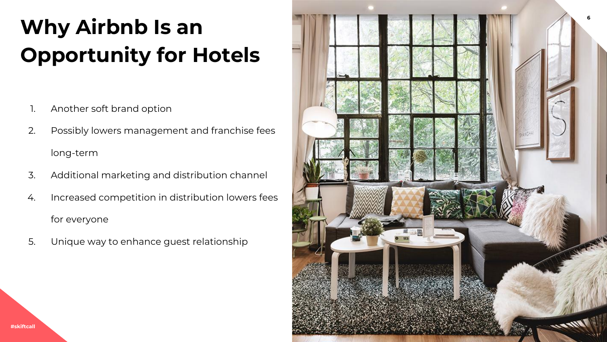# **<sup>6</sup> Why Airbnb Is an Opportunity for Hotels**

- 1. Another soft brand option
- 2. Possibly lowers management and franchise fees long-term
- 3. Additional marketing and distribution channel
- 4. Increased competition in distribution lowers fees for everyone
- 5. Unique way to enhance guest relationship

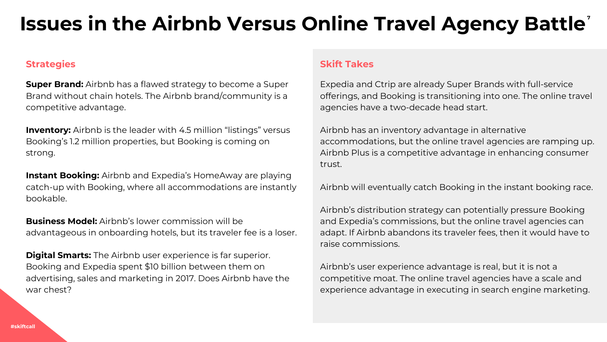### **7 Issues in the Airbnb Versus Online Travel Agency Battle**

#### **Strategies**

**Super Brand:** Airbnb has a flawed strategy to become a Super Brand without chain hotels. The Airbnb brand/community is a competitive advantage.

**Inventory:** Airbnb is the leader with 4.5 million "listings" versus Booking's 1.2 million properties, but Booking is coming on strong.

**Instant Booking:** Airbnb and Expedia's HomeAway are playing catch-up with Booking, where all accommodations are instantly bookable.

**Business Model:** Airbnb's lower commission will be advantageous in onboarding hotels, but its traveler fee is a loser.

**Digital Smarts:** The Airbnb user experience is far superior. Booking and Expedia spent \$10 billion between them on advertising, sales and marketing in 2017. Does Airbnb have the war chest?

#### **Skift Takes**

Expedia and Ctrip are already Super Brands with full-service offerings, and Booking is transitioning into one. The online travel agencies have a two-decade head start.

Airbnb has an inventory advantage in alternative accommodations, but the online travel agencies are ramping up. Airbnb Plus is a competitive advantage in enhancing consumer trust.

Airbnb will eventually catch Booking in the instant booking race.

Airbnb's distribution strategy can potentially pressure Booking and Expedia's commissions, but the online travel agencies can adapt. If Airbnb abandons its traveler fees, then it would have to raise commissions.

Airbnb's user experience advantage is real, but it is not a competitive moat. The online travel agencies have a scale and experience advantage in executing in search engine marketing.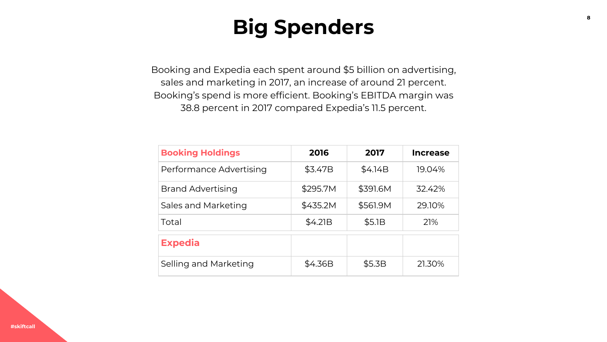### **Big Spenders**

Booking and Expedia each spent around \$5 billion on advertising, sales and marketing in 2017, an increase of around 21 percent. Booking's spend is more efficient. Booking's EBITDA margin was 38.8 percent in 2017 compared Expedia's 11.5 percent.

| <b>Booking Holdings</b> | 2016     | 2017     | <b>Increase</b> |
|-------------------------|----------|----------|-----------------|
| Performance Advertising | \$3.47B  | \$4.14B  | 19.04%          |
| Brand Advertising       | \$295.7M | \$391.6M | 32.42%          |
| Sales and Marketing     | \$435.2M | \$561.9M | 29.10%          |
| Total                   | \$4.21B  | \$5.1B   | 21%             |
| <b>Expedia</b>          |          |          |                 |
| Selling and Marketing   | \$4.36B  | \$5.3B   | 21.30%          |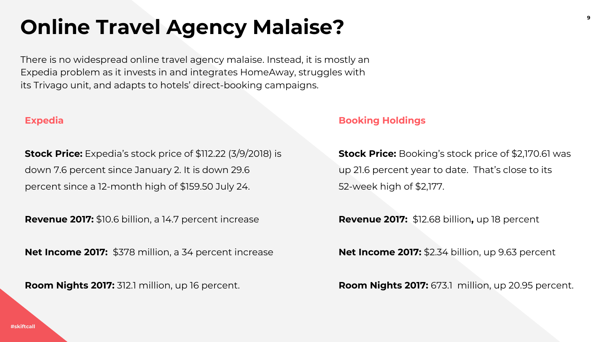### **Online Travel Agency Malaise?**

There is no widespread online travel agency malaise. Instead, it is mostly an Expedia problem as it invests in and integrates HomeAway, struggles with its Trivago unit, and adapts to hotels' direct-booking campaigns.

#### **Expedia**

**Stock Price:** Expedia's stock price of \$112.22 (3/9/2018) is down 7.6 percent since January 2. It is down 29.6 percent since a 12-month high of \$159.50 July 24.

**Revenue 2017:** \$10.6 billion, a 14.7 percent increase

**Net Income 2017:** \$378 million, a 34 percent increase

**Room Nights 2017:** 312.1 million, up 16 percent.

#### **Booking Holdings**

**Stock Price:** Booking's stock price of \$2,170.61 was up 21.6 percent year to date. That's close to its 52-week high of \$2,177.

**Revenue 2017:** \$12.68 billion**,** up 18 percent

**Net Income 2017:** \$2.34 billion, up 9.63 percent

**Room Nights 2017:** 673.1 million, up 20.95 percent.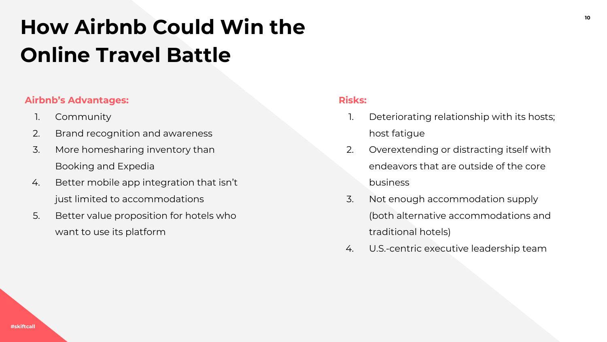# **<sup>10</sup> How Airbnb Could Win the Online Travel Battle**

### **Airbnb's Advantages:**

- 1. Community
- 2. Brand recognition and awareness
- 3. More homesharing inventory than Booking and Expedia
- 4. Better mobile app integration that isn't just limited to accommodations
- 5. Better value proposition for hotels who want to use its platform

#### **Risks:**

- 1. Deteriorating relationship with its hosts; host fatigue
- 2. Overextending or distracting itself with endeavors that are outside of the core business
- 3. Not enough accommodation supply (both alternative accommodations and traditional hotels)
- 4. U.S.-centric executive leadership team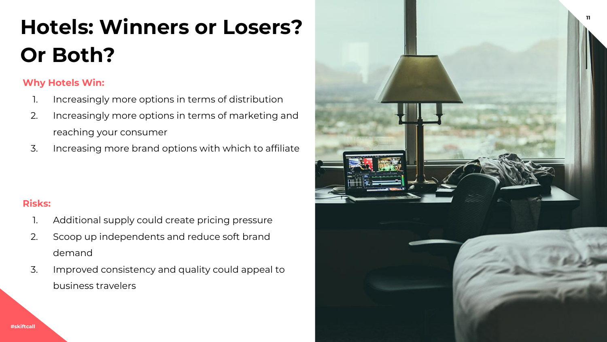# **<sup>11</sup> Hotels: Winners or Losers? Or Both?**

### **Why Hotels Win:**

- 1. Increasingly more options in terms of distribution
- 2. Increasingly more options in terms of marketing and reaching your consumer
- 3. Increasing more brand options with which to affiliate

### **Risks:**

- 1. Additional supply could create pricing pressure
- 2. Scoop up independents and reduce soft brand demand
- 3. Improved consistency and quality could appeal to business travelers

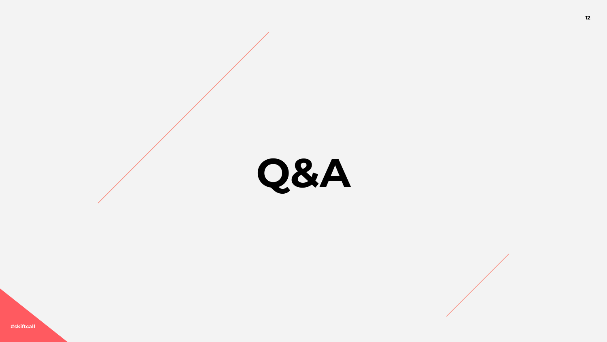